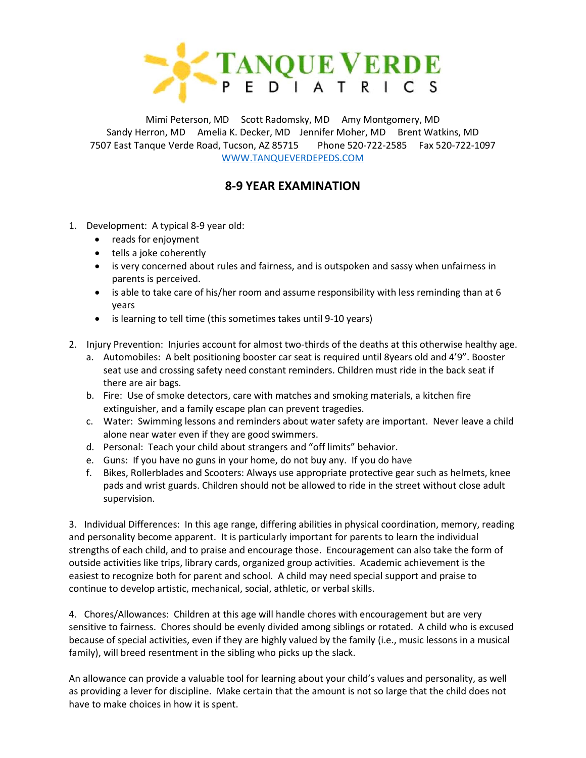

Mimi Peterson, MD Scott Radomsky, MD Amy Montgomery, MD Sandy Herron, MD Amelia K. Decker, MD Jennifer Moher, MD Brent Watkins, MD 7507 East Tanque Verde Road, Tucson, AZ 85715 Phone 520-722-2585 Fax 520-722-1097 [WWW.TANQUEVERDEPEDS.COM](http://www.tanqueverdepeds.com/)

## **8-9 YEAR EXAMINATION**

- 1. Development: A typical 8-9 year old:
	- reads for enjoyment
	- tells a joke coherently
	- is very concerned about rules and fairness, and is outspoken and sassy when unfairness in parents is perceived.
	- is able to take care of his/her room and assume responsibility with less reminding than at 6 years
	- is learning to tell time (this sometimes takes until 9-10 years)
- 2. Injury Prevention: Injuries account for almost two-thirds of the deaths at this otherwise healthy age.
	- a. Automobiles: A belt positioning booster car seat is required until 8years old and 4'9". Booster seat use and crossing safety need constant reminders. Children must ride in the back seat if there are air bags.
	- b. Fire: Use of smoke detectors, care with matches and smoking materials, a kitchen fire extinguisher, and a family escape plan can prevent tragedies.
	- c. Water: Swimming lessons and reminders about water safety are important. Never leave a child alone near water even if they are good swimmers.
	- d. Personal: Teach your child about strangers and "off limits" behavior.
	- e. Guns: If you have no guns in your home, do not buy any. If you do have
	- f. Bikes, Rollerblades and Scooters: Always use appropriate protective gear such as helmets, knee pads and wrist guards. Children should not be allowed to ride in the street without close adult supervision.

3. Individual Differences: In this age range, differing abilities in physical coordination, memory, reading and personality become apparent. It is particularly important for parents to learn the individual strengths of each child, and to praise and encourage those. Encouragement can also take the form of outside activities like trips, library cards, organized group activities. Academic achievement is the easiest to recognize both for parent and school. A child may need special support and praise to continue to develop artistic, mechanical, social, athletic, or verbal skills.

4. Chores/Allowances: Children at this age will handle chores with encouragement but are very sensitive to fairness. Chores should be evenly divided among siblings or rotated. A child who is excused because of special activities, even if they are highly valued by the family (i.e., music lessons in a musical family), will breed resentment in the sibling who picks up the slack.

An allowance can provide a valuable tool for learning about your child's values and personality, as well as providing a lever for discipline. Make certain that the amount is not so large that the child does not have to make choices in how it is spent.